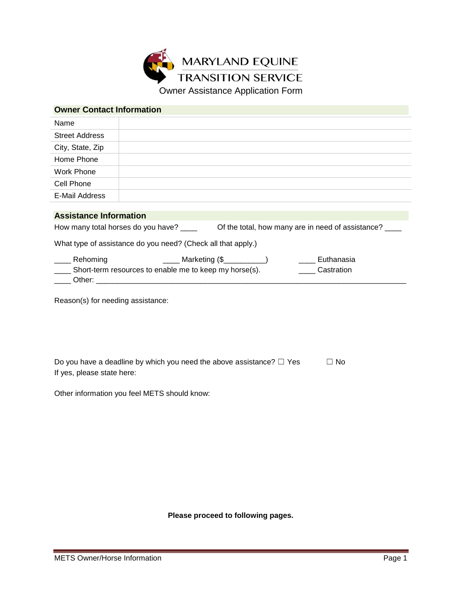

| <b>Owner Contact Information</b>                                                        |                                                                      |
|-----------------------------------------------------------------------------------------|----------------------------------------------------------------------|
| Name                                                                                    |                                                                      |
| <b>Street Address</b>                                                                   |                                                                      |
| City, State, Zip                                                                        |                                                                      |
| Home Phone                                                                              |                                                                      |
| <b>Work Phone</b>                                                                       |                                                                      |
| Cell Phone                                                                              |                                                                      |
| E-Mail Address                                                                          |                                                                      |
|                                                                                         |                                                                      |
| <b>Assistance Information</b>                                                           |                                                                      |
| Of the total, how many are in need of assistance?<br>How many total horses do you have? |                                                                      |
|                                                                                         | What type of assistance do you need? (Check all that apply.)         |
| Rehoming                                                                                | ______ Marketing (\$___________)<br>Euthanasia                       |
|                                                                                         | Short-term resources to enable me to keep my horse(s).<br>Castration |
|                                                                                         |                                                                      |

Reason(s) for needing assistance:

| Do you have a deadline by which you need the above assistance? $\Box$ Yes | $\Box$ No |
|---------------------------------------------------------------------------|-----------|
| If yes, please state here:                                                |           |

Other information you feel METS should know:

**Please proceed to following pages.**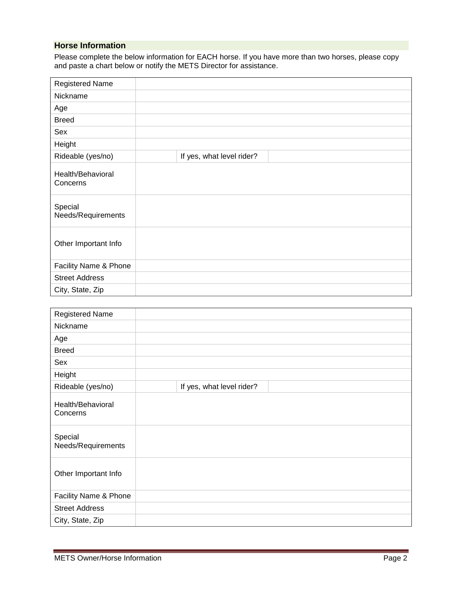## **Horse Information**

Please complete the below information for EACH horse. If you have more than two horses, please copy and paste a chart below or notify the METS Director for assistance.

| <b>Registered Name</b>        |                           |
|-------------------------------|---------------------------|
| Nickname                      |                           |
| Age                           |                           |
| <b>Breed</b>                  |                           |
| Sex                           |                           |
| Height                        |                           |
| Rideable (yes/no)             | If yes, what level rider? |
| Health/Behavioral<br>Concerns |                           |
| Special<br>Needs/Requirements |                           |
| Other Important Info          |                           |
| Facility Name & Phone         |                           |
| <b>Street Address</b>         |                           |
| City, State, Zip              |                           |

| <b>Registered Name</b>        |                           |
|-------------------------------|---------------------------|
| Nickname                      |                           |
| Age                           |                           |
| <b>Breed</b>                  |                           |
| Sex                           |                           |
| Height                        |                           |
| Rideable (yes/no)             | If yes, what level rider? |
| Health/Behavioral<br>Concerns |                           |
| Special<br>Needs/Requirements |                           |
| Other Important Info          |                           |
| Facility Name & Phone         |                           |
| <b>Street Address</b>         |                           |
| City, State, Zip              |                           |